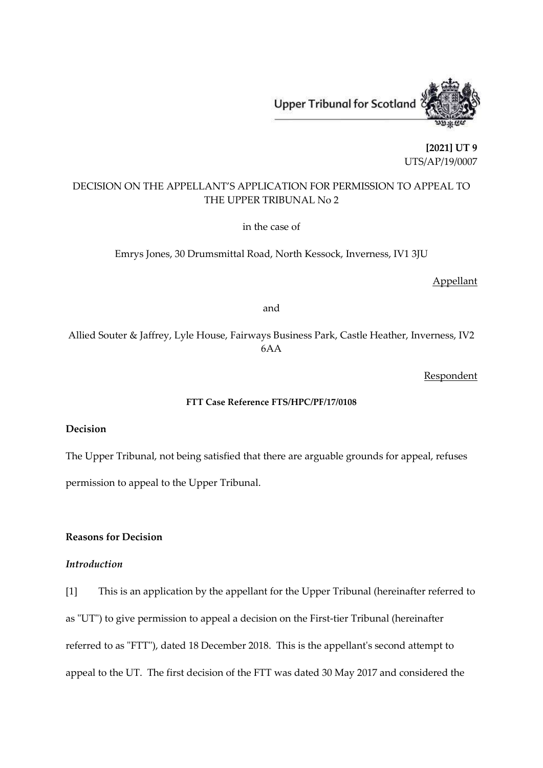

**[2021] UT 9** UTS/AP/19/0007

# DECISION ON THE APPELLANT'S APPLICATION FOR PERMISSION TO APPEAL TO THE UPPER TRIBUNAL No 2

in the case of

Emrys Jones, 30 Drumsmittal Road, North Kessock, Inverness, IV1 3JU

Appellant

and

Allied Souter & Jaffrey, Lyle House, Fairways Business Park, Castle Heather, Inverness, IV2 6AA

**Respondent** 

#### **FTT Case Reference FTS/HPC/PF/17/0108**

## **Decision**

The Upper Tribunal, not being satisfied that there are arguable grounds for appeal, refuses permission to appeal to the Upper Tribunal.

### **Reasons for Decision**

### *Introduction*

[1] This is an application by the appellant for the Upper Tribunal (hereinafter referred to as "UT") to give permission to appeal a decision on the First-tier Tribunal (hereinafter referred to as "FTT"), dated 18 December 2018. This is the appellant's second attempt to appeal to the UT. The first decision of the FTT was dated 30 May 2017 and considered the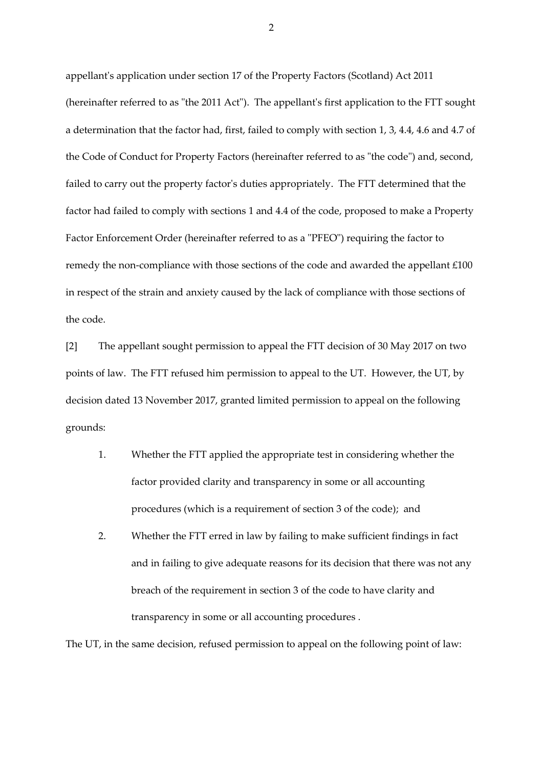appellant's application under section 17 of the Property Factors (Scotland) Act 2011 (hereinafter referred to as "the 2011 Act"). The appellant's first application to the FTT sought a determination that the factor had, first, failed to comply with section 1, 3, 4.4, 4.6 and 4.7 of the Code of Conduct for Property Factors (hereinafter referred to as "the code") and, second, failed to carry out the property factor's duties appropriately. The FTT determined that the factor had failed to comply with sections 1 and 4.4 of the code, proposed to make a Property Factor Enforcement Order (hereinafter referred to as a "PFEO") requiring the factor to remedy the non-compliance with those sections of the code and awarded the appellant £100 in respect of the strain and anxiety caused by the lack of compliance with those sections of the code.

[2] The appellant sought permission to appeal the FTT decision of 30 May 2017 on two points of law. The FTT refused him permission to appeal to the UT. However, the UT, by decision dated 13 November 2017, granted limited permission to appeal on the following grounds:

- 1. Whether the FTT applied the appropriate test in considering whether the factor provided clarity and transparency in some or all accounting procedures (which is a requirement of section 3 of the code); and
- 2. Whether the FTT erred in law by failing to make sufficient findings in fact and in failing to give adequate reasons for its decision that there was not any breach of the requirement in section 3 of the code to have clarity and transparency in some or all accounting procedures .

The UT, in the same decision, refused permission to appeal on the following point of law: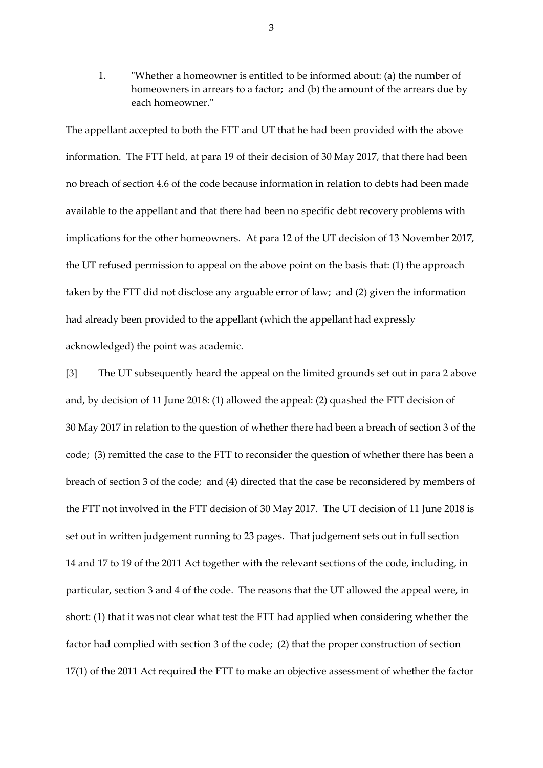1. "Whether a homeowner is entitled to be informed about: (a) the number of homeowners in arrears to a factor; and (b) the amount of the arrears due by each homeowner."

The appellant accepted to both the FTT and UT that he had been provided with the above information. The FTT held, at para 19 of their decision of 30 May 2017, that there had been no breach of section 4.6 of the code because information in relation to debts had been made available to the appellant and that there had been no specific debt recovery problems with implications for the other homeowners. At para 12 of the UT decision of 13 November 2017, the UT refused permission to appeal on the above point on the basis that: (1) the approach taken by the FTT did not disclose any arguable error of law; and (2) given the information had already been provided to the appellant (which the appellant had expressly acknowledged) the point was academic.

[3] The UT subsequently heard the appeal on the limited grounds set out in para 2 above and, by decision of 11 June 2018: (1) allowed the appeal: (2) quashed the FTT decision of 30 May 2017 in relation to the question of whether there had been a breach of section 3 of the code; (3) remitted the case to the FTT to reconsider the question of whether there has been a breach of section 3 of the code; and (4) directed that the case be reconsidered by members of the FTT not involved in the FTT decision of 30 May 2017. The UT decision of 11 June 2018 is set out in written judgement running to 23 pages. That judgement sets out in full section 14 and 17 to 19 of the 2011 Act together with the relevant sections of the code, including, in particular, section 3 and 4 of the code. The reasons that the UT allowed the appeal were, in short: (1) that it was not clear what test the FTT had applied when considering whether the factor had complied with section 3 of the code; (2) that the proper construction of section 17(1) of the 2011 Act required the FTT to make an objective assessment of whether the factor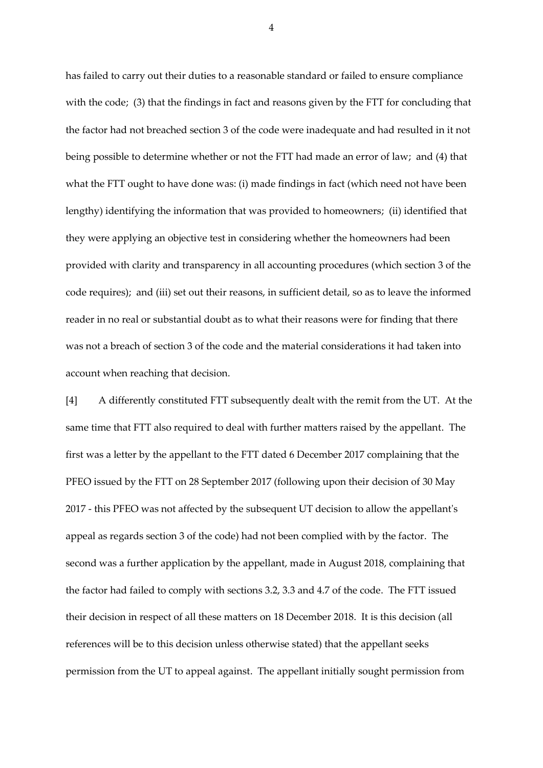has failed to carry out their duties to a reasonable standard or failed to ensure compliance with the code; (3) that the findings in fact and reasons given by the FTT for concluding that the factor had not breached section 3 of the code were inadequate and had resulted in it not being possible to determine whether or not the FTT had made an error of law; and (4) that what the FTT ought to have done was: (i) made findings in fact (which need not have been lengthy) identifying the information that was provided to homeowners; (ii) identified that they were applying an objective test in considering whether the homeowners had been provided with clarity and transparency in all accounting procedures (which section 3 of the code requires); and (iii) set out their reasons, in sufficient detail, so as to leave the informed reader in no real or substantial doubt as to what their reasons were for finding that there was not a breach of section 3 of the code and the material considerations it had taken into account when reaching that decision.

[4] A differently constituted FTT subsequently dealt with the remit from the UT. At the same time that FTT also required to deal with further matters raised by the appellant. The first was a letter by the appellant to the FTT dated 6 December 2017 complaining that the PFEO issued by the FTT on 28 September 2017 (following upon their decision of 30 May 2017 - this PFEO was not affected by the subsequent UT decision to allow the appellant's appeal as regards section 3 of the code) had not been complied with by the factor. The second was a further application by the appellant, made in August 2018, complaining that the factor had failed to comply with sections 3.2, 3.3 and 4.7 of the code. The FTT issued their decision in respect of all these matters on 18 December 2018. It is this decision (all references will be to this decision unless otherwise stated) that the appellant seeks permission from the UT to appeal against. The appellant initially sought permission from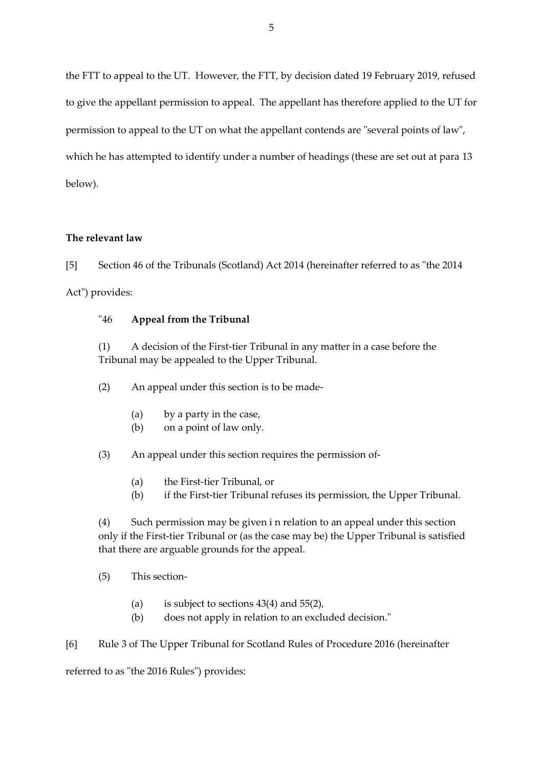the FTT to appeal to the UT. However, the FTT, by decision dated 19 February 2019, refused to give the appellant permission to appeal. The appellant has therefore applied to the UT for permission to appeal to the UT on what the appellant contends are "several points of law", which he has attempted to identify under a number of headings (these are set out at para 13 below).

## **The relevant law**

[5] Section 46 of the Tribunals (Scotland) Act 2014 (hereinafter referred to as "the 2014 Act") provides:

## "46 **Appeal from the Tribunal**

(1) A decision of the First-tier Tribunal in any matter in a case before the Tribunal may be appealed to the Upper Tribunal.

(2) An appeal under this section is to be made-

- (a) by a party in the case,
- (b) on a point of law only.

(3) An appeal under this section requires the permission of-

- (a) the First-tier Tribunal, or
- (b) if the First-tier Tribunal refuses its permission, the Upper Tribunal.

(4) Such permission may be given i n relation to an appeal under this section only if the First-tier Tribunal or (as the case may be) the Upper Tribunal is satisfied that there are arguable grounds for the appeal.

- (5) This section-
	- (a) is subject to sections  $43(4)$  and  $55(2)$ ,
	- (b) does not apply in relation to an excluded decision."

[6] Rule 3 of The Upper Tribunal for Scotland Rules of Procedure 2016 (hereinafter

referred to as "the 2016 Rules") provides: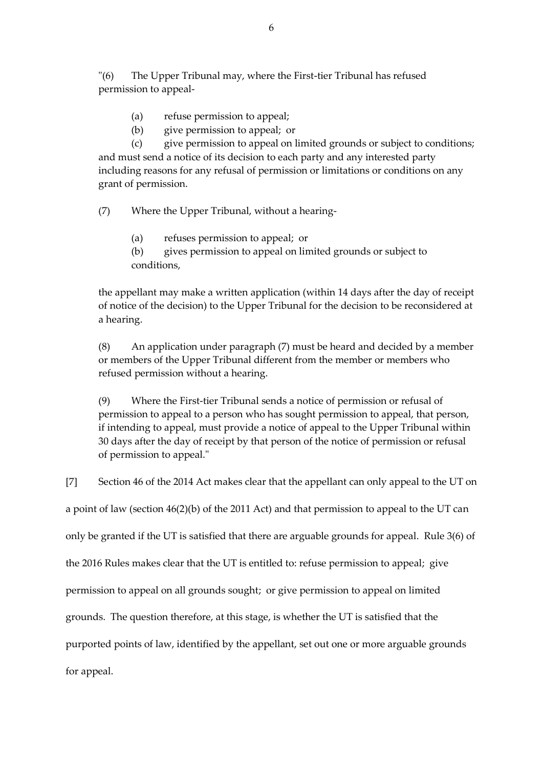"(6) The Upper Tribunal may, where the First-tier Tribunal has refused permission to appeal-

- (a) refuse permission to appeal;
- (b) give permission to appeal; or

(c) give permission to appeal on limited grounds or subject to conditions; and must send a notice of its decision to each party and any interested party including reasons for any refusal of permission or limitations or conditions on any grant of permission.

(7) Where the Upper Tribunal, without a hearing-

(a) refuses permission to appeal; or

(b) gives permission to appeal on limited grounds or subject to conditions,

the appellant may make a written application (within 14 days after the day of receipt of notice of the decision) to the Upper Tribunal for the decision to be reconsidered at a hearing.

(8) An application under paragraph (7) must be heard and decided by a member or members of the Upper Tribunal different from the member or members who refused permission without a hearing.

(9) Where the First-tier Tribunal sends a notice of permission or refusal of permission to appeal to a person who has sought permission to appeal, that person, if intending to appeal, must provide a notice of appeal to the Upper Tribunal within 30 days after the day of receipt by that person of the notice of permission or refusal of permission to appeal."

[7] Section 46 of the 2014 Act makes clear that the appellant can only appeal to the UT on

a point of law (section 46(2)(b) of the 2011 Act) and that permission to appeal to the UT can

only be granted if the UT is satisfied that there are arguable grounds for appeal. Rule 3(6) of

the 2016 Rules makes clear that the UT is entitled to: refuse permission to appeal; give

permission to appeal on all grounds sought; or give permission to appeal on limited

grounds. The question therefore, at this stage, is whether the UT is satisfied that the

purported points of law, identified by the appellant, set out one or more arguable grounds

for appeal.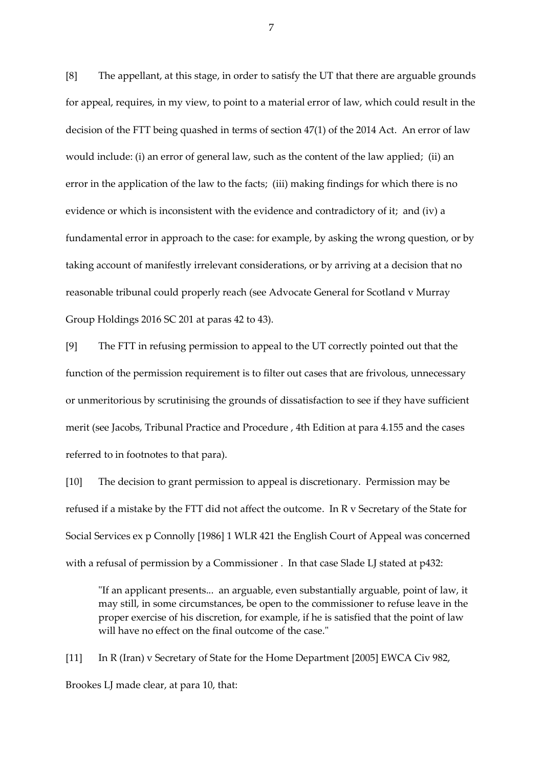[8] The appellant, at this stage, in order to satisfy the UT that there are arguable grounds for appeal, requires, in my view, to point to a material error of law, which could result in the decision of the FTT being quashed in terms of section 47(1) of the 2014 Act. An error of law would include: (i) an error of general law, such as the content of the law applied; (ii) an error in the application of the law to the facts; (iii) making findings for which there is no evidence or which is inconsistent with the evidence and contradictory of it; and (iv) a fundamental error in approach to the case: for example, by asking the wrong question, or by taking account of manifestly irrelevant considerations, or by arriving at a decision that no reasonable tribunal could properly reach (see Advocate General for Scotland v Murray Group Holdings 2016 SC 201 at paras 42 to 43).

[9] The FTT in refusing permission to appeal to the UT correctly pointed out that the function of the permission requirement is to filter out cases that are frivolous, unnecessary or unmeritorious by scrutinising the grounds of dissatisfaction to see if they have sufficient merit (see Jacobs, Tribunal Practice and Procedure , 4th Edition at para 4.155 and the cases referred to in footnotes to that para).

[10] The decision to grant permission to appeal is discretionary. Permission may be refused if a mistake by the FTT did not affect the outcome. In R v Secretary of the State for Social Services ex p Connolly [1986] 1 WLR 421 the English Court of Appeal was concerned with a refusal of permission by a Commissioner . In that case Slade LJ stated at p432:

"If an applicant presents... an arguable, even substantially arguable, point of law, it may still, in some circumstances, be open to the commissioner to refuse leave in the proper exercise of his discretion, for example, if he is satisfied that the point of law will have no effect on the final outcome of the case."

[11] In R (Iran) v Secretary of State for the Home Department [2005] EWCA Civ 982, Brookes LJ made clear, at para 10, that: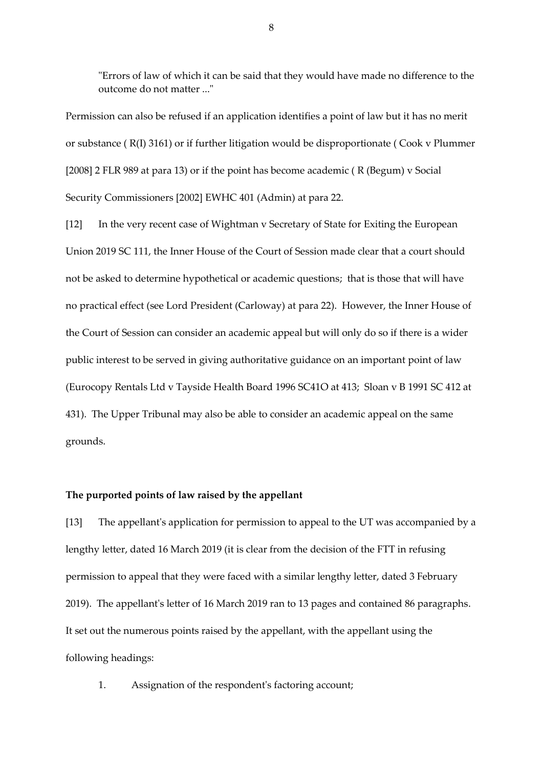"Errors of law of which it can be said that they would have made no difference to the outcome do not matter ..."

Permission can also be refused if an application identifies a point of law but it has no merit or substance ( R(I) 3161) or if further litigation would be disproportionate ( Cook v Plummer [2008] 2 FLR 989 at para 13) or if the point has become academic (R (Begum) v Social Security Commissioners [2002] EWHC 401 (Admin) at para 22.

[12] In the very recent case of Wightman v Secretary of State for Exiting the European Union 2019 SC 111, the Inner House of the Court of Session made clear that a court should not be asked to determine hypothetical or academic questions; that is those that will have no practical effect (see Lord President (Carloway) at para 22). However, the Inner House of the Court of Session can consider an academic appeal but will only do so if there is a wider public interest to be served in giving authoritative guidance on an important point of law (Eurocopy Rentals Ltd v Tayside Health Board 1996 SC41O at 413; Sloan v B 1991 SC 412 at 431). The Upper Tribunal may also be able to consider an academic appeal on the same grounds.

## **The purported points of law raised by the appellant**

[13] The appellant's application for permission to appeal to the UT was accompanied by a lengthy letter, dated 16 March 2019 (it is clear from the decision of the FTT in refusing permission to appeal that they were faced with a similar lengthy letter, dated 3 February 2019). The appellant's letter of 16 March 2019 ran to 13 pages and contained 86 paragraphs. It set out the numerous points raised by the appellant, with the appellant using the following headings:

1. Assignation of the respondent's factoring account;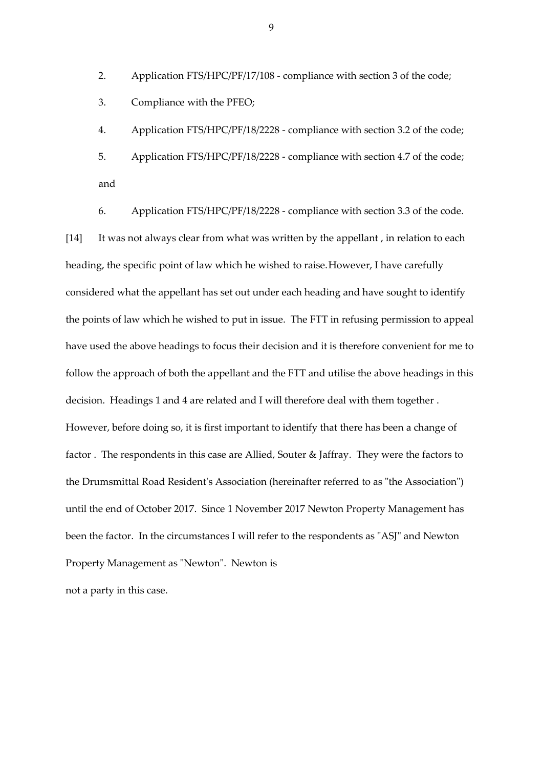2. Application FTS/HPC/PF/17/108 - compliance with section 3 of the code;

3. Compliance with the PFEO;

4. Application FTS/HPC/PF/18/2228 - compliance with section 3.2 of the code;

5. Application FTS/HPC/PF/18/2228 - compliance with section 4.7 of the code; and

6. Application FTS/HPC/PF/18/2228 - compliance with section 3.3 of the code. [14] It was not always clear from what was written by the appellant, in relation to each heading, the specific point of law which he wished to raise.However, I have carefully considered what the appellant has set out under each heading and have sought to identify the points of law which he wished to put in issue. The FTT in refusing permission to appeal have used the above headings to focus their decision and it is therefore convenient for me to follow the approach of both the appellant and the FTT and utilise the above headings in this decision. Headings 1 and 4 are related and I will therefore deal with them together . However, before doing so, it is first important to identify that there has been a change of factor . The respondents in this case are Allied, Souter & Jaffray. They were the factors to the Drumsmittal Road Resident's Association (hereinafter referred to as "the Association") until the end of October 2017. Since 1 November 2017 Newton Property Management has been the factor. In the circumstances I will refer to the respondents as "ASJ" and Newton Property Management as "Newton". Newton is

not a party in this case.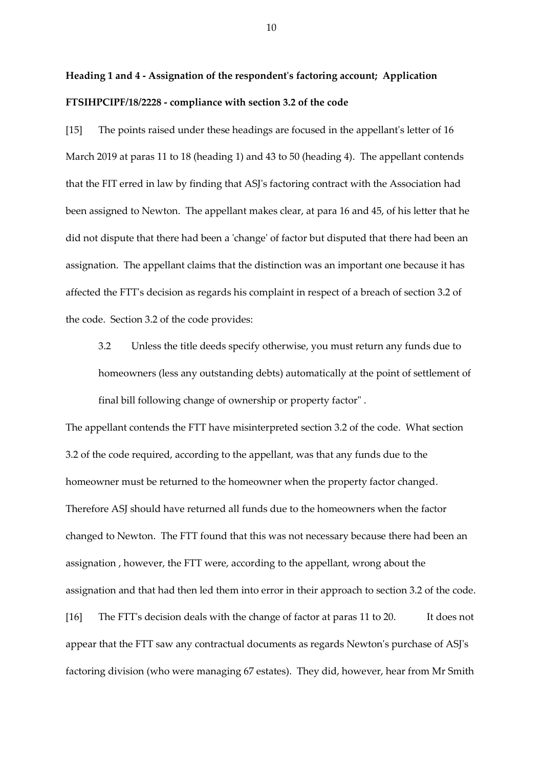# **Heading 1 and 4 - Assignation of the respondent's factoring account; Application FTSIHPCIPF/18/2228 - compliance with section 3.2 of the code**

[15] The points raised under these headings are focused in the appellant's letter of 16 March 2019 at paras 11 to 18 (heading 1) and 43 to 50 (heading 4). The appellant contends that the FIT erred in law by finding that ASJ's factoring contract with the Association had been assigned to Newton. The appellant makes clear, at para 16 and 45, of his letter that he did not dispute that there had been a 'change' of factor but disputed that there had been an assignation. The appellant claims that the distinction was an important one because it has affected the FTT's decision as regards his complaint in respect of a breach of section 3.2 of the code. Section 3.2 of the code provides:

3.2 Unless the title deeds specify otherwise, you must return any funds due to homeowners (less any outstanding debts) automatically at the point of settlement of final bill following change of ownership or property factor" .

The appellant contends the FTT have misinterpreted section 3.2 of the code. What section 3.2 of the code required, according to the appellant, was that any funds due to the homeowner must be returned to the homeowner when the property factor changed. Therefore ASJ should have returned all funds due to the homeowners when the factor changed to Newton. The FTT found that this was not necessary because there had been an assignation , however, the FTT were, according to the appellant, wrong about the assignation and that had then led them into error in their approach to section 3.2 of the code. [16] The FTT's decision deals with the change of factor at paras 11 to 20. It does not appear that the FTT saw any contractual documents as regards Newton's purchase of ASJ's factoring division (who were managing 67 estates). They did, however, hear from Mr Smith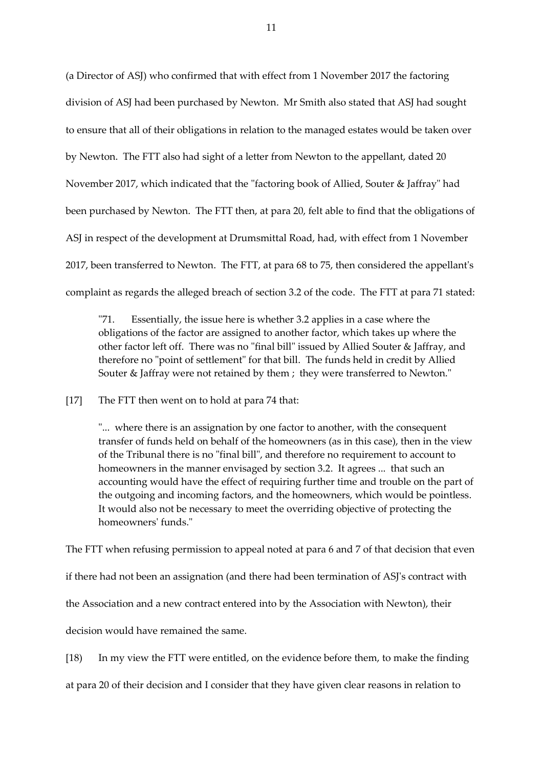(a Director of ASJ) who confirmed that with effect from 1 November 2017 the factoring division of ASJ had been purchased by Newton. Mr Smith also stated that ASJ had sought to ensure that all of their obligations in relation to the managed estates would be taken over by Newton. The FTT also had sight of a letter from Newton to the appellant, dated 20 November 2017, which indicated that the "factoring book of Allied, Souter & Jaffray" had been purchased by Newton. The FTT then, at para 20, felt able to find that the obligations of ASJ in respect of the development at Drumsmittal Road, had, with effect from 1 November 2017, been transferred to Newton. The FTT, at para 68 to 75, then considered the appellant's complaint as regards the alleged breach of section 3.2 of the code. The FTT at para 71 stated:

"71. Essentially, the issue here is whether 3.2 applies in a case where the obligations of the factor are assigned to another factor, which takes up where the other factor left off. There was no "final bill" issued by Allied Souter & Jaffray, and therefore no "point of settlement" for that bill. The funds held in credit by Allied Souter & Jaffray were not retained by them ; they were transferred to Newton."

[17] The FTT then went on to hold at para 74 that:

"... where there is an assignation by one factor to another, with the consequent transfer of funds held on behalf of the homeowners (as in this case), then in the view of the Tribunal there is no "final bill", and therefore no requirement to account to homeowners in the manner envisaged by section 3.2. It agrees ... that such an accounting would have the effect of requiring further time and trouble on the part of the outgoing and incoming factors, and the homeowners, which would be pointless. It would also not be necessary to meet the overriding objective of protecting the homeowners' funds."

The FTT when refusing permission to appeal noted at para 6 and 7 of that decision that even

if there had not been an assignation (and there had been termination of ASJ's contract with

the Association and a new contract entered into by the Association with Newton), their

decision would have remained the same.

[18) In my view the FTT were entitled, on the evidence before them, to make the finding

at para 20 of their decision and I consider that they have given clear reasons in relation to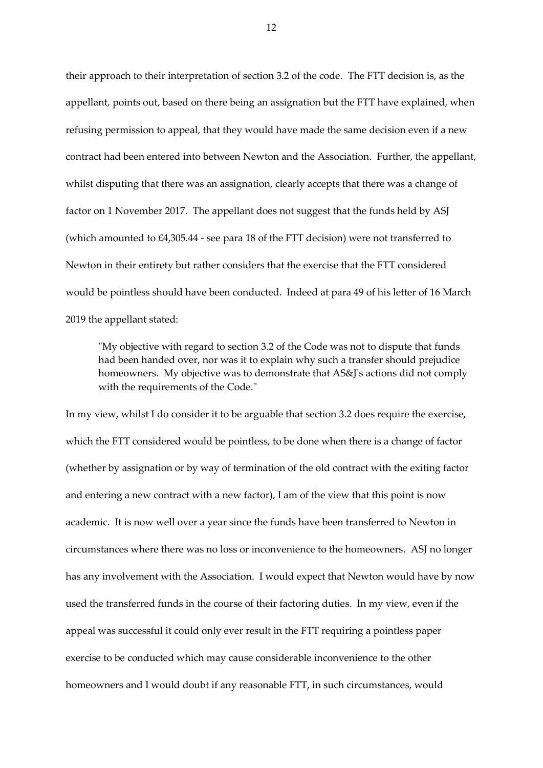their approach to their interpretation of section 3.2 of the code. The FTT decision is, as the appellant, points out, based on there being an assignation but the FTT have explained, when refusing permission to appeal, that they would have made the same decision even if a new contract had been entered into between Newton and the Association. Further, the appellant, whilst disputing that there was an assignation, clearly accepts that there was a change of factor on 1 November 2017. The appellant does not suggest that the funds held by ASJ (which amounted to £4,305.44 - see para 18 of the FTT decision) were not transferred to Newton in their entirety but rather considers that the exercise that the FTT considered would be pointless should have been conducted. Indeed at para 49 of his letter of 16 March 2019 the appellant stated:

"My objective with regard to section 3.2 of the Code was not to dispute that funds had been handed over, nor was it to explain why such a transfer should prejudice homeowners. My objective was to demonstrate that AS&J's actions did not comply with the requirements of the Code."

In my view, whilst I do consider it to be arguable that section 3.2 does require the exercise, which the FTT considered would be pointless, to be done when there is a change of factor (whether by assignation or by way of termination of the old contract with the exiting factor and entering a new contract with a new factor), I am of the view that this point is now academic. It is now well over a year since the funds have been transferred to Newton in circumstances where there was no loss or inconvenience to the homeowners. ASJ no longer has any involvement with the Association. I would expect that Newton would have by now used the transferred funds in the course of their factoring duties. In my view, even if the appeal was successful it could only ever result in the FTT requiring a pointless paper exercise to be conducted which may cause considerable inconvenience to the other homeowners and I would doubt if any reasonable FTT, in such circumstances, would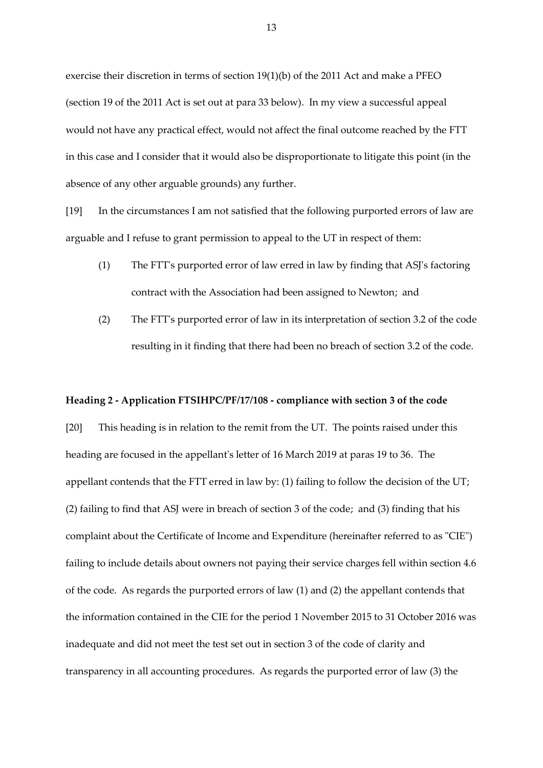exercise their discretion in terms of section 19(1)(b) of the 2011 Act and make a PFEO (section 19 of the 2011 Act is set out at para 33 below). In my view a successful appeal would not have any practical effect, would not affect the final outcome reached by the FTT in this case and I consider that it would also be disproportionate to litigate this point (in the absence of any other arguable grounds) any further.

[19] In the circumstances I am not satisfied that the following purported errors of law are arguable and I refuse to grant permission to appeal to the UT in respect of them:

- (1) The FTT's purported error of law erred in law by finding that ASJ's factoring contract with the Association had been assigned to Newton; and
- (2) The FTT's purported error of law in its interpretation of section 3.2 of the code resulting in it finding that there had been no breach of section 3.2 of the code.

#### **Heading 2 - Application FTSIHPC/PF/17/108 - compliance with section 3 of the code**

[20] This heading is in relation to the remit from the UT. The points raised under this heading are focused in the appellant's letter of 16 March 2019 at paras 19 to 36. The appellant contends that the FTT erred in law by: (1) failing to follow the decision of the UT; (2) failing to find that ASJ were in breach of section 3 of the code; and (3) finding that his complaint about the Certificate of Income and Expenditure (hereinafter referred to as "CIE") failing to include details about owners not paying their service charges fell within section 4.6 of the code. As regards the purported errors of law (1) and (2) the appellant contends that the information contained in the CIE for the period 1 November 2015 to 31 October 2016 was inadequate and did not meet the test set out in section 3 of the code of clarity and transparency in all accounting procedures. As regards the purported error of law (3) the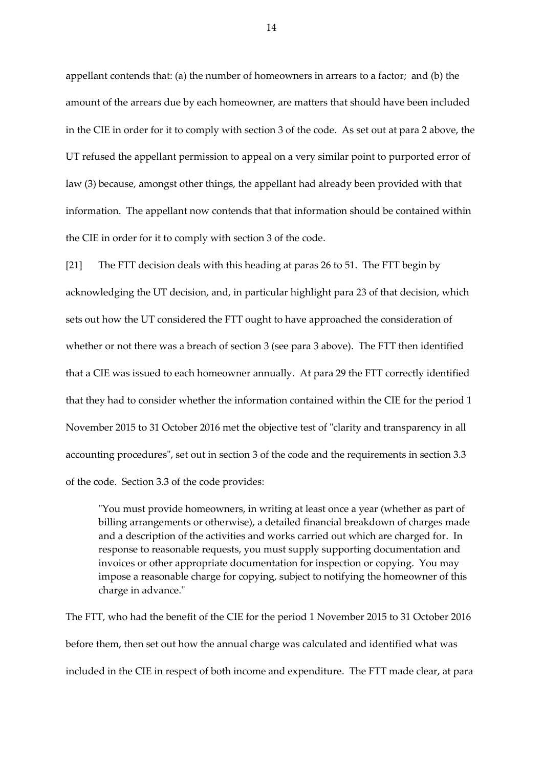appellant contends that: (a) the number of homeowners in arrears to a factor; and (b) the amount of the arrears due by each homeowner, are matters that should have been included in the CIE in order for it to comply with section 3 of the code. As set out at para 2 above, the UT refused the appellant permission to appeal on a very similar point to purported error of law (3) because, amongst other things, the appellant had already been provided with that information. The appellant now contends that that information should be contained within the CIE in order for it to comply with section 3 of the code.

[21] The FTT decision deals with this heading at paras 26 to 51. The FTT begin by acknowledging the UT decision, and, in particular highlight para 23 of that decision, which sets out how the UT considered the FTT ought to have approached the consideration of whether or not there was a breach of section 3 (see para 3 above). The FTT then identified that a CIE was issued to each homeowner annually. At para 29 the FTT correctly identified that they had to consider whether the information contained within the CIE for the period 1 November 2015 to 31 October 2016 met the objective test of "clarity and transparency in all accounting procedures", set out in section 3 of the code and the requirements in section 3.3 of the code. Section 3.3 of the code provides:

"You must provide homeowners, in writing at least once a year (whether as part of billing arrangements or otherwise), a detailed financial breakdown of charges made and a description of the activities and works carried out which are charged for. In response to reasonable requests, you must supply supporting documentation and invoices or other appropriate documentation for inspection or copying. You may impose a reasonable charge for copying, subject to notifying the homeowner of this charge in advance."

The FTT, who had the benefit of the CIE for the period 1 November 2015 to 31 October 2016 before them, then set out how the annual charge was calculated and identified what was included in the CIE in respect of both income and expenditure. The FTT made clear, at para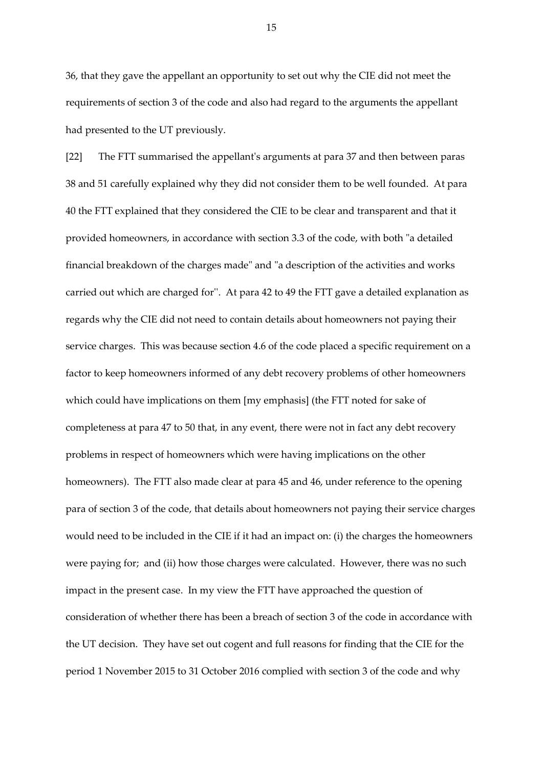36, that they gave the appellant an opportunity to set out why the CIE did not meet the requirements of section 3 of the code and also had regard to the arguments the appellant had presented to the UT previously.

[22] The FTT summarised the appellant's arguments at para 37 and then between paras 38 and 51 carefully explained why they did not consider them to be well founded. At para 40 the FTT explained that they considered the CIE to be clear and transparent and that it provided homeowners, in accordance with section 3.3 of the code, with both "a detailed financial breakdown of the charges made" and "a description of the activities and works carried out which are charged for''. At para 42 to 49 the FTT gave a detailed explanation as regards why the CIE did not need to contain details about homeowners not paying their service charges. This was because section 4.6 of the code placed a specific requirement on a factor to keep homeowners informed of any debt recovery problems of other homeowners which could have implications on them [my emphasis] (the FTT noted for sake of completeness at para 47 to 50 that, in any event, there were not in fact any debt recovery problems in respect of homeowners which were having implications on the other homeowners). The FTT also made clear at para 45 and 46, under reference to the opening para of section 3 of the code, that details about homeowners not paying their service charges would need to be included in the CIE if it had an impact on: (i) the charges the homeowners were paying for; and (ii) how those charges were calculated. However, there was no such impact in the present case. In my view the FTT have approached the question of consideration of whether there has been a breach of section 3 of the code in accordance with the UT decision. They have set out cogent and full reasons for finding that the CIE for the period 1 November 2015 to 31 October 2016 complied with section 3 of the code and why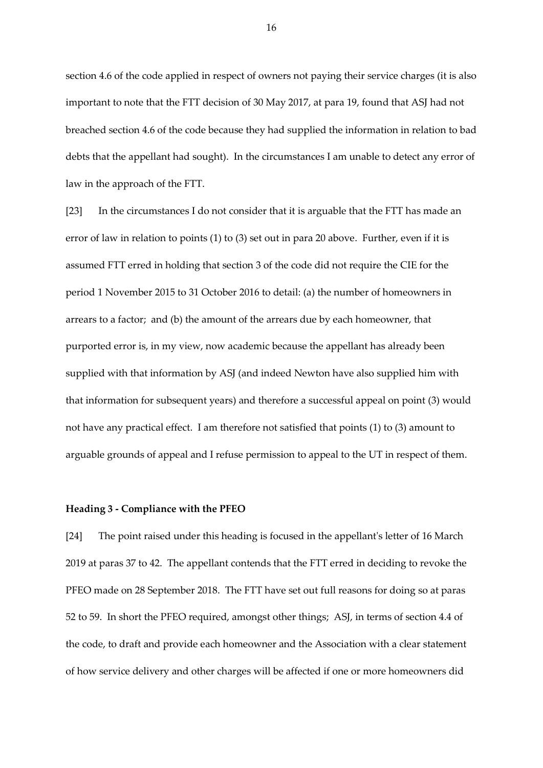section 4.6 of the code applied in respect of owners not paying their service charges (it is also important to note that the FTT decision of 30 May 2017, at para 19, found that ASJ had not breached section 4.6 of the code because they had supplied the information in relation to bad debts that the appellant had sought). In the circumstances I am unable to detect any error of law in the approach of the FTT.

[23] In the circumstances I do not consider that it is arguable that the FTT has made an error of law in relation to points (1) to (3) set out in para 20 above. Further, even if it is assumed FTT erred in holding that section 3 of the code did not require the CIE for the period 1 November 2015 to 31 October 2016 to detail: (a) the number of homeowners in arrears to a factor; and (b) the amount of the arrears due by each homeowner, that purported error is, in my view, now academic because the appellant has already been supplied with that information by ASJ (and indeed Newton have also supplied him with that information for subsequent years) and therefore a successful appeal on point (3) would not have any practical effect. I am therefore not satisfied that points (1) to (3) amount to arguable grounds of appeal and I refuse permission to appeal to the UT in respect of them.

#### **Heading 3 - Compliance with the PFEO**

[24] The point raised under this heading is focused in the appellant's letter of 16 March 2019 at paras 37 to 42. The appellant contends that the FTT erred in deciding to revoke the PFEO made on 28 September 2018. The FTT have set out full reasons for doing so at paras 52 to 59. In short the PFEO required, amongst other things; ASJ, in terms of section 4.4 of the code, to draft and provide each homeowner and the Association with a clear statement of how service delivery and other charges will be affected if one or more homeowners did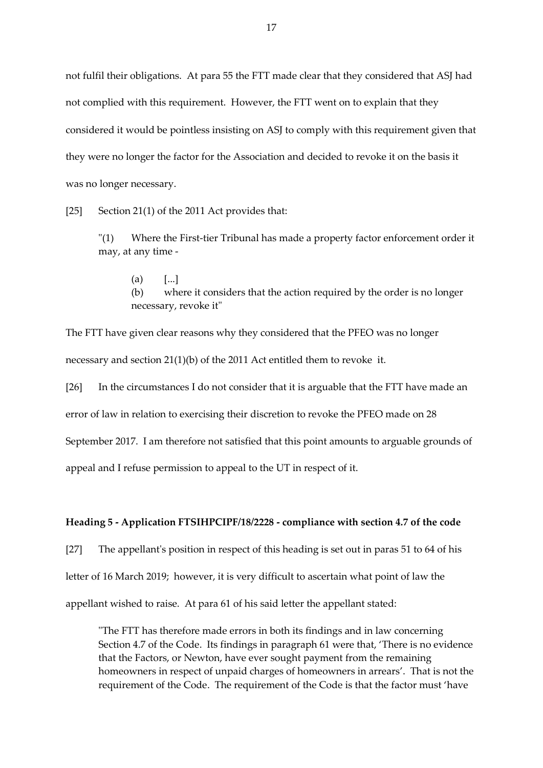not fulfil their obligations. At para 55 the FTT made clear that they considered that ASJ had not complied with this requirement. However, the FTT went on to explain that they considered it would be pointless insisting on ASJ to comply with this requirement given that they were no longer the factor for the Association and decided to revoke it on the basis it was no longer necessary.

[25] Section 21(1) of the 2011 Act provides that:

"(1) Where the First-tier Tribunal has made a property factor enforcement order it may, at any time -

 $(a)$  [...] (b) where it considers that the action required by the order is no longer necessary, revoke it"

The FTT have given clear reasons why they considered that the PFEO was no longer necessary and section 21(1)(b) of the 2011 Act entitled them to revoke it.

[26] In the circumstances I do not consider that it is arguable that the FTT have made an error of law in relation to exercising their discretion to revoke the PFEO made on 28 September 2017. I am therefore not satisfied that this point amounts to arguable grounds of appeal and I refuse permission to appeal to the UT in respect of it.

#### **Heading 5 - Application FTSIHPCIPF/18/2228 - compliance with section 4.7 of the code**

[27] The appellant's position in respect of this heading is set out in paras 51 to 64 of his letter of 16 March 2019; however, it is very difficult to ascertain what point of law the appellant wished to raise. At para 61 of his said letter the appellant stated:

"The FTT has therefore made errors in both its findings and in law concerning Section 4.7 of the Code. Its findings in paragraph 61 were that, 'There is no evidence that the Factors, or Newton, have ever sought payment from the remaining homeowners in respect of unpaid charges of homeowners in arrears'. That is not the requirement of the Code. The requirement of the Code is that the factor must 'have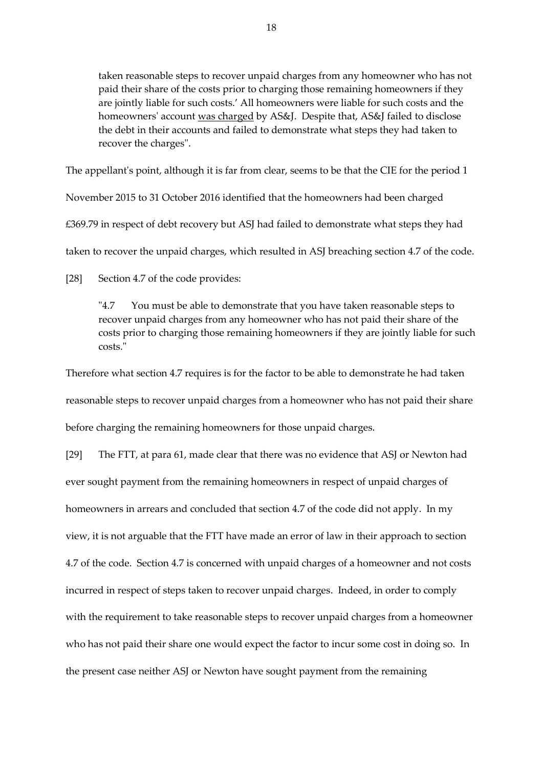taken reasonable steps to recover unpaid charges from any homeowner who has not paid their share of the costs prior to charging those remaining homeowners if they are jointly liable for such costs.' All homeowners were liable for such costs and the homeowners' account was charged by AS&J. Despite that, AS&J failed to disclose the debt in their accounts and failed to demonstrate what steps they had taken to recover the charges".

The appellant's point, although it is far from clear, seems to be that the CIE for the period 1

November 2015 to 31 October 2016 identified that the homeowners had been charged

£369.79 in respect of debt recovery but ASJ had failed to demonstrate what steps they had

taken to recover the unpaid charges, which resulted in ASJ breaching section 4.7 of the code.

[28] Section 4.7 of the code provides:

"4.7 You must be able to demonstrate that you have taken reasonable steps to recover unpaid charges from any homeowner who has not paid their share of the costs prior to charging those remaining homeowners if they are jointly liable for such costs."

Therefore what section 4.7 requires is for the factor to be able to demonstrate he had taken reasonable steps to recover unpaid charges from a homeowner who has not paid their share before charging the remaining homeowners for those unpaid charges.

[29] The FTT, at para 61, made clear that there was no evidence that ASJ or Newton had ever sought payment from the remaining homeowners in respect of unpaid charges of homeowners in arrears and concluded that section 4.7 of the code did not apply. In my view, it is not arguable that the FTT have made an error of law in their approach to section 4.7 of the code. Section 4.7 is concerned with unpaid charges of a homeowner and not costs incurred in respect of steps taken to recover unpaid charges. Indeed, in order to comply with the requirement to take reasonable steps to recover unpaid charges from a homeowner who has not paid their share one would expect the factor to incur some cost in doing so. In the present case neither ASJ or Newton have sought payment from the remaining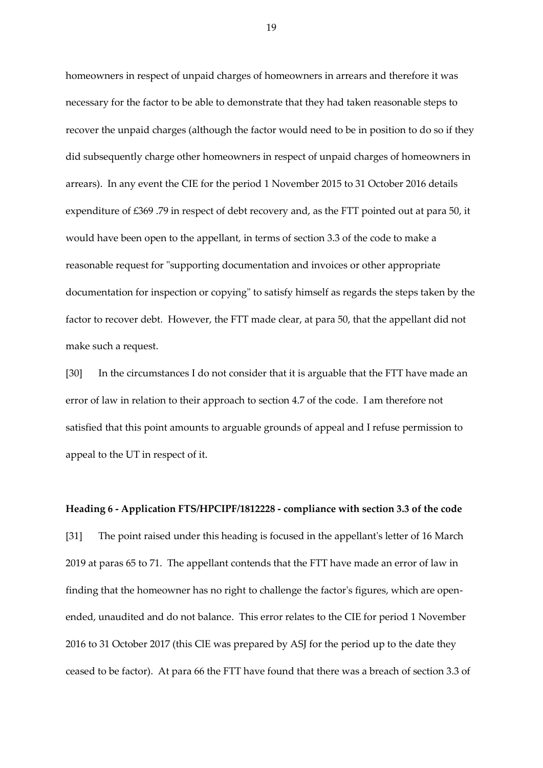homeowners in respect of unpaid charges of homeowners in arrears and therefore it was necessary for the factor to be able to demonstrate that they had taken reasonable steps to recover the unpaid charges (although the factor would need to be in position to do so if they did subsequently charge other homeowners in respect of unpaid charges of homeowners in arrears). In any event the CIE for the period 1 November 2015 to 31 October 2016 details expenditure of £369 .79 in respect of debt recovery and, as the FTT pointed out at para 50, it would have been open to the appellant, in terms of section 3.3 of the code to make a reasonable request for "supporting documentation and invoices or other appropriate documentation for inspection or copying" to satisfy himself as regards the steps taken by the factor to recover debt. However, the FTT made clear, at para 50, that the appellant did not make such a request.

[30] In the circumstances I do not consider that it is arguable that the FTT have made an error of law in relation to their approach to section 4.7 of the code. I am therefore not satisfied that this point amounts to arguable grounds of appeal and I refuse permission to appeal to the UT in respect of it.

**Heading 6 - Application FTS/HPCIPF/1812228 - compliance with section 3.3 of the code** [31] The point raised under this heading is focused in the appellant's letter of 16 March 2019 at paras 65 to 71. The appellant contends that the FTT have made an error of law in finding that the homeowner has no right to challenge the factor's figures, which are openended, unaudited and do not balance. This error relates to the CIE for period 1 November 2016 to 31 October 2017 (this ClE was prepared by ASJ for the period up to the date they ceased to be factor). At para 66 the FTT have found that there was a breach of section 3.3 of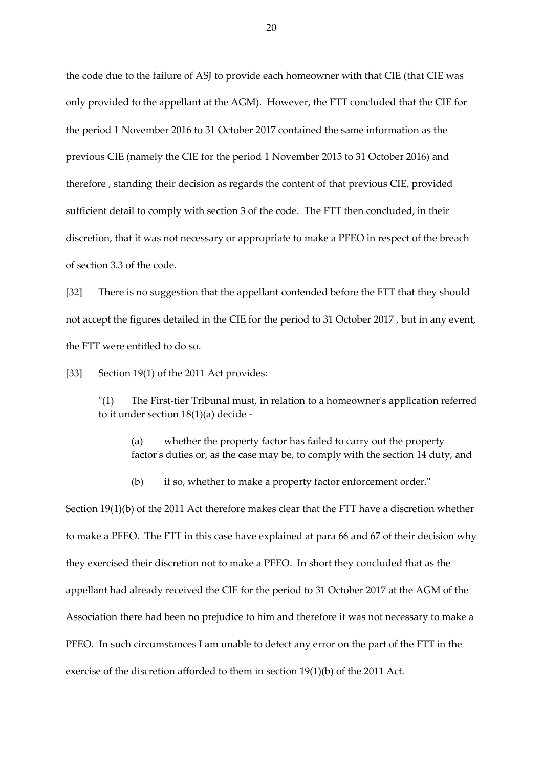the code due to the failure of ASJ to provide each homeowner with that CIE (that CIE was only provided to the appellant at the AGM). However, the FTT concluded that the CIE for the period 1 November 2016 to 31 October 2017 contained the same information as the previous CIE (namely the CIE for the period 1 November 2015 to 31 October 2016) and therefore , standing their decision as regards the content of that previous CIE, provided sufficient detail to comply with section 3 of the code. The FTT then concluded, in their discretion, that it was not necessary or appropriate to make a PFEO in respect of the breach of section 3.3 of the code.

[32] There is no suggestion that the appellant contended before the FTT that they should not accept the figures detailed in the CIE for the period to 31 October 2017 , but in any event, the FTT were entitled to do so.

[33] Section 19(1) of the 2011 Act provides:

"(1) The First-tier Tribunal must, in relation to a homeowner's application referred to it under section 18(1)(a) decide -

(a) whether the property factor has failed to carry out the property factor's duties or, as the case may be, to comply with the section 14 duty, and

(b) if so, whether to make a property factor enforcement order."

Section 19(1)(b) of the 2011 Act therefore makes clear that the FTT have a discretion whether to make a PFEO. The FTT in this case have explained at para 66 and 67 of their decision why they exercised their discretion not to make a PFEO. In short they concluded that as the appellant had already received the ClE for the period to 31 October 2017 at the AGM of the Association there had been no prejudice to him and therefore it was not necessary to make a PFEO. In such circumstances I am unable to detect any error on the part of the FTT in the exercise of the discretion afforded to them in section 19(1)(b) of the 2011 Act.